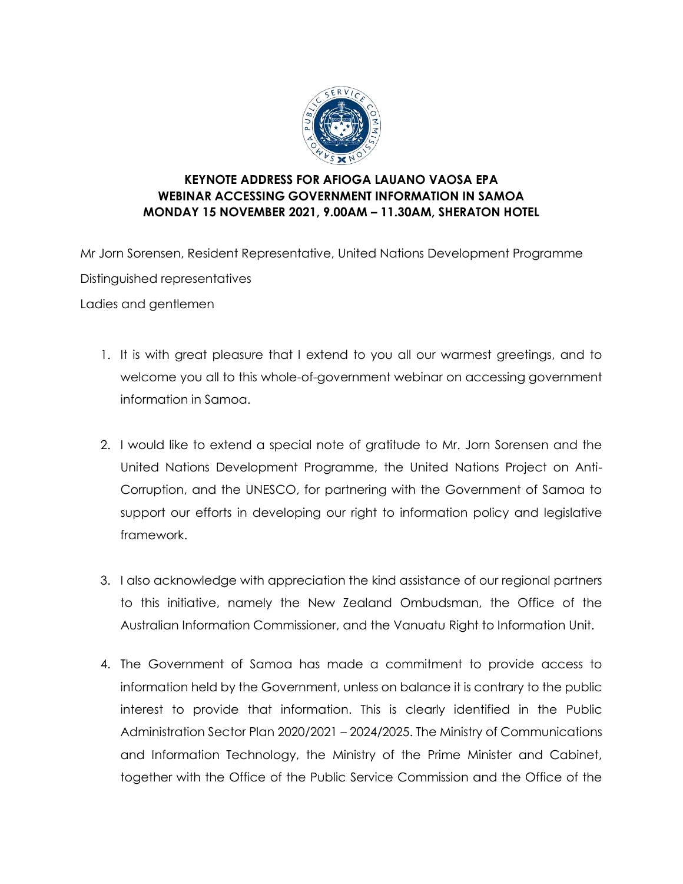

## **KEYNOTE ADDRESS FOR AFIOGA LAUANO VAOSA EPA WEBINAR ACCESSING GOVERNMENT INFORMATION IN SAMOA MONDAY 15 NOVEMBER 2021, 9.00AM – 11.30AM, SHERATON HOTEL**

Mr Jorn Sorensen, Resident Representative, United Nations Development Programme Distinguished representatives Ladies and gentlemen

- 1. It is with great pleasure that I extend to you all our warmest greetings, and to welcome you all to this whole-of-government webinar on accessing government information in Samoa.
- 2. I would like to extend a special note of gratitude to Mr. Jorn Sorensen and the United Nations Development Programme, the United Nations Project on Anti-Corruption, and the UNESCO, for partnering with the Government of Samoa to support our efforts in developing our right to information policy and legislative framework.
- 3. I also acknowledge with appreciation the kind assistance of our regional partners to this initiative, namely the New Zealand Ombudsman, the Office of the Australian Information Commissioner, and the Vanuatu Right to Information Unit.
- 4. The Government of Samoa has made a commitment to provide access to information held by the Government, unless on balance it is contrary to the public interest to provide that information. This is clearly identified in the Public Administration Sector Plan 2020/2021 – 2024/2025. The Ministry of Communications and Information Technology, the Ministry of the Prime Minister and Cabinet, together with the Office of the Public Service Commission and the Office of the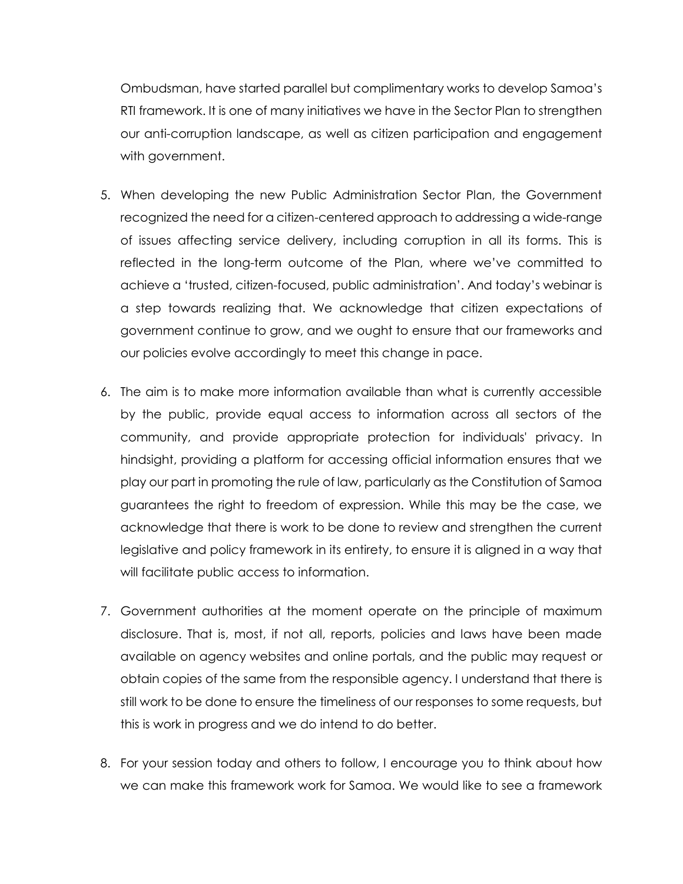Ombudsman, have started parallel but complimentary works to develop Samoa's RTI framework. It is one of many initiatives we have in the Sector Plan to strengthen our anti-corruption landscape, as well as citizen participation and engagement with government.

- 5. When developing the new Public Administration Sector Plan, the Government recognized the need for a citizen-centered approach to addressing a wide-range of issues affecting service delivery, including corruption in all its forms. This is reflected in the long-term outcome of the Plan, where we've committed to achieve a 'trusted, citizen-focused, public administration'. And today's webinar is a step towards realizing that. We acknowledge that citizen expectations of government continue to grow, and we ought to ensure that our frameworks and our policies evolve accordingly to meet this change in pace.
- 6. The aim is to make more information available than what is currently accessible by the public, provide equal access to information across all sectors of the community, and provide appropriate protection for individuals' privacy. In hindsight, providing a platform for accessing official information ensures that we play our part in promoting the rule of law, particularly as the Constitution of Samoa guarantees the right to freedom of expression. While this may be the case, we acknowledge that there is work to be done to review and strengthen the current legislative and policy framework in its entirety, to ensure it is aligned in a way that will facilitate public access to information.
- 7. Government authorities at the moment operate on the principle of maximum disclosure. That is, most, if not all, reports, policies and laws have been made available on agency websites and online portals, and the public may request or obtain copies of the same from the responsible agency. I understand that there is still work to be done to ensure the timeliness of our responses to some requests, but this is work in progress and we do intend to do better.
- 8. For your session today and others to follow, I encourage you to think about how we can make this framework work for Samoa. We would like to see a framework